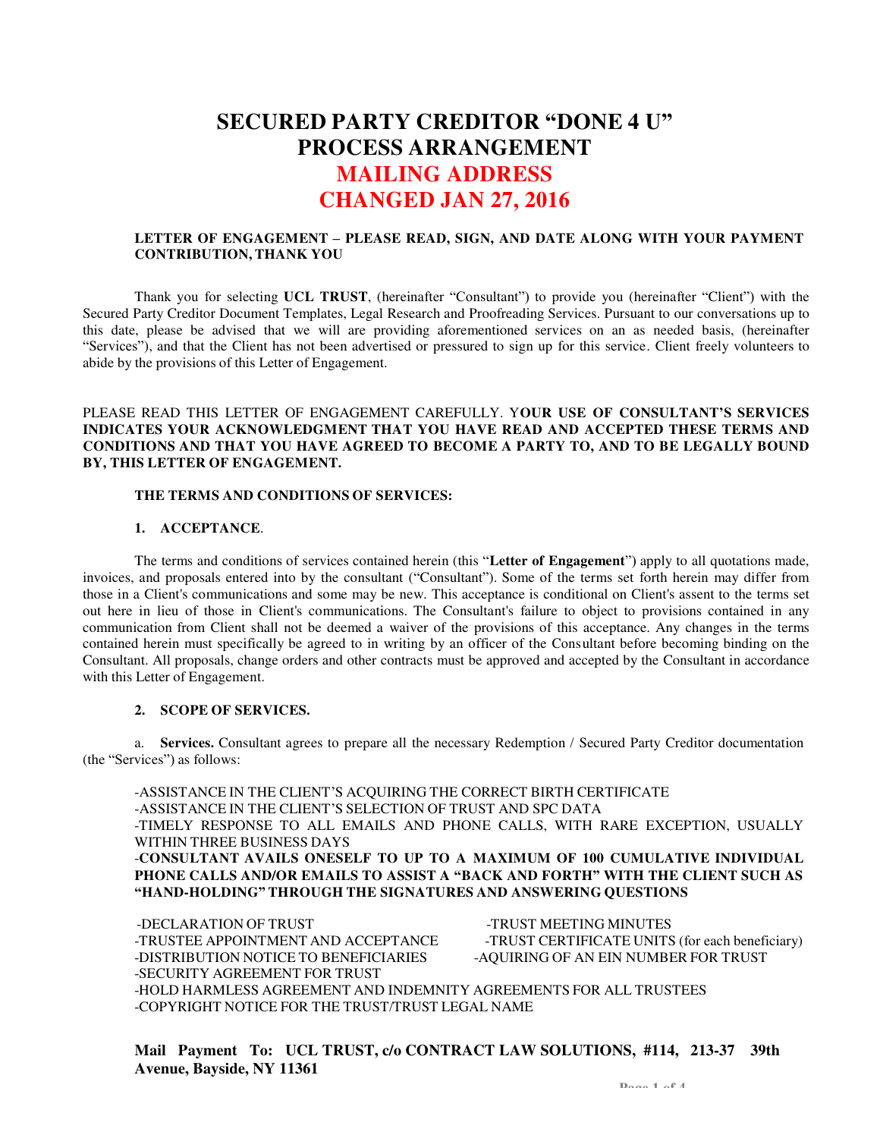# **SECURED PARTY CREDITOR "DONE 4 U" PROCESS ARRANGEMENT MAILING ADDRESS CHANGED JAN 27, 2016**

## **LETTER OF ENGAGEMENT – PLEASE READ, SIGN, AND DATE ALONG WITH YOUR PAYMENT CONTRIBUTION, THANK YOU**

Thank you for selecting **UCL TRUST**, (hereinafter "Consultant") to provide you (hereinafter "Client") with the Secured Party Creditor Document Templates, Legal Research and Proofreading Services. Pursuant to our conversations up to this date, please be advised that we will are providing aforementioned services on an as needed basis, (hereinafter "Services"), and that the Client has not been advertised or pressured to sign up for this service. Client freely volunteers to abide by the provisions of this Letter of Engagement.

## PLEASE READ THIS LETTER OF ENGAGEMENT CAREFULLY. Y**OUR USE OF CONSULTANT'S SERVICES INDICATES YOUR ACKNOWLEDGMENT THAT YOU HAVE READ AND ACCEPTED THESE TERMS AND CONDITIONS AND THAT YOU HAVE AGREED TO BECOME A PARTY TO, AND TO BE LEGALLY BOUND BY, THIS LETTER OF ENGAGEMENT.**

### **THE TERMS AND CONDITIONS OF SERVICES:**

### **1. ACCEPTANCE**.

The terms and conditions of services contained herein (this "**Letter of Engagement**") apply to all quotations made, invoices, and proposals entered into by the consultant ("Consultant"). Some of the terms set forth herein may differ from those in a Client's communications and some may be new. This acceptance is conditional on Client's assent to the terms set out here in lieu of those in Client's communications. The Consultant's failure to object to provisions contained in any communication from Client shall not be deemed a waiver of the provisions of this acceptance. Any changes in the terms contained herein must specifically be agreed to in writing by an officer of the Cons ultant before becoming binding on the Consultant. All proposals, change orders and other contracts must be approved and accepted by the Consultant in accordance with this Letter of Engagement.

## **2. SCOPE OF SERVICES.**

a. **Services.** Consultant agrees to prepare all the necessary Redemption / Secured Party Creditor documentation (the "Services") as follows:

-ASSISTANCE IN THE CLIENT'S ACQUIRING THE CORRECT BIRTH CERTIFICATE -ASSISTANCE IN THE CLIENT'S SELECTION OF TRUST AND SPC DATA -TIMELY RESPONSE TO ALL EMAILS AND PHONE CALLS, WITH RARE EXCEPTION, USUALLY WITHIN THREE BUSINESS DAYS -**CONSULTANT AVAILS ONESELF TO UP TO A MAXIMUM OF 100 CUMULATIVE INDIVIDUAL PHONE CALLS AND/OR EMAILS TO ASSIST A "BACK AND FORTH" WITH THE CLIENT SUCH AS "HAND-HOLDING" THROUGH THE SIGNATURES AND ANSWERING QUESTIONS**

-DECLARATION OF TRUST FINDS TRUST AND ACCOUNT OF TRUST MEETING MINUTES -TRUSTEE APPOINTMENT AND ACCEPTANCE -TRUST CERTIFICATE UNITS (for each beneficiary) -DISTRIBUTION NOTICE TO BENEFICIARIES - AQUIRING OF AN EIN NUMBER FOR TRUST -SECURITY AGREEMENT FOR TRUST -HOLD HARMLESS AGREEMENT AND INDEMNITY AGREEMENTS FOR ALL TRUSTEES -COPYRIGHT NOTICE FOR THE TRUST/TRUST LEGAL NAME

**Mail Payment To: UCL TRUST, c/o CONTRACT LAW SOLUTIONS, #114, 213-37 39th Avenue, Bayside, NY 11361**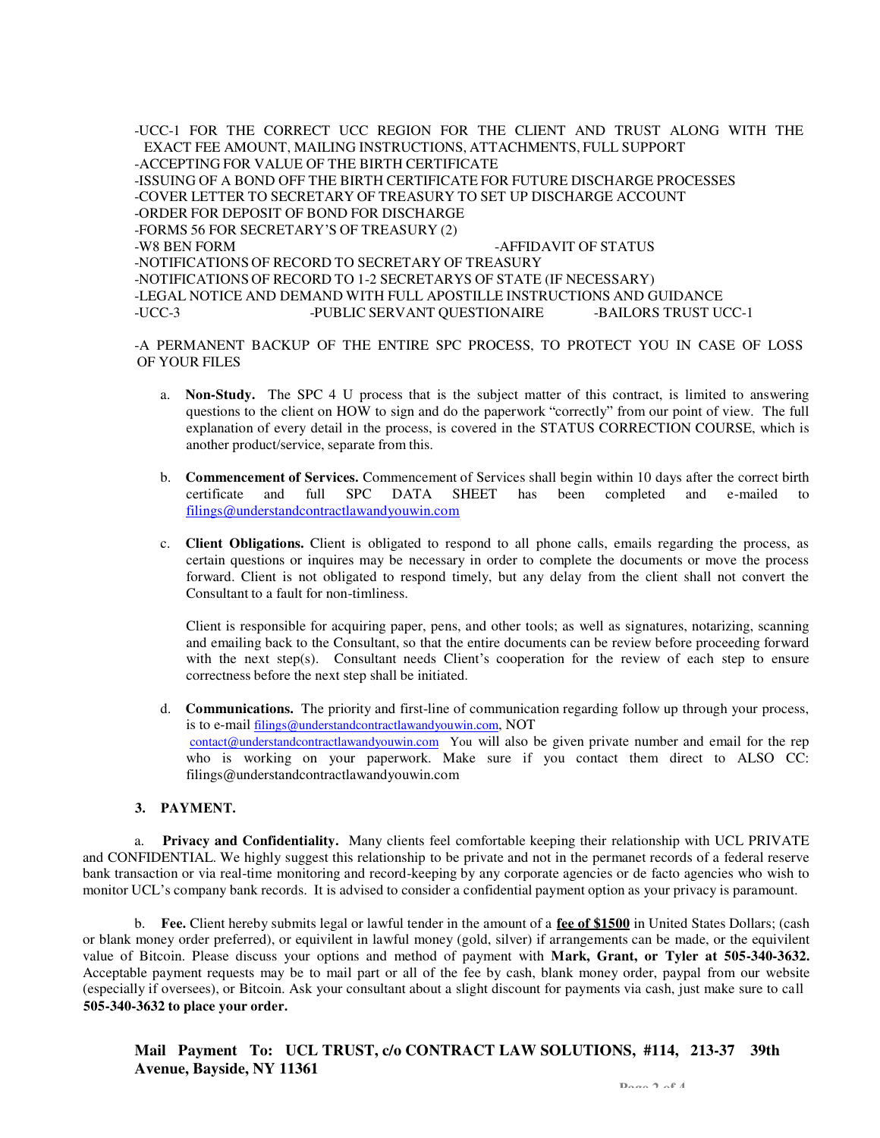-UCC-1 FOR THE CORRECT UCC REGION FOR THE CLIENT AND TRUST ALONG WITH THE EXACT FEE AMOUNT, MAILING INSTRUCTIONS, ATTACHMENTS, FULL SUPPORT -ACCEPTING FOR VALUE OF THE BIRTH CERTIFICATE -ISSUING OF A BOND OFF THE BIRTH CERTIFICATE FOR FUTURE DISCHARGE PROCESSES -COVER LETTER TO SECRETARY OF TREASURY TO SET UP DISCHARGE ACCOUNT -ORDER FOR DEPOSIT OF BOND FOR DISCHARGE -FORMS 56 FOR SECRETARY'S OF TREASURY (2) -W8 BEN FORM  $-$ AFFIDAVIT OF STATUS -NOTIFICATIONS OF RECORD TO SECRETARY OF TREASURY -NOTIFICATIONS OF RECORD TO 1-2 SECRETARYS OF STATE (IF NECESSARY) -LEGAL NOTICE AND DEMAND WITH FULL APOSTILLE INSTRUCTIONS AND GUIDANCE -PUBLIC SERVANT OUESTIONAIRE

-A PERMANENT BACKUP OF THE ENTIRE SPC PROCESS, TO PROTECT YOU IN CASE OF LOSS OF YOUR FILES

- a. **Non-Study.** The SPC 4 U process that is the subject matter of this contract, is limited to answering questions to the client on HOW to sign and do the paperwork "correctly" from our point of view. The full explanation of every detail in the process, is covered in the STATUS CORRECTION COURSE, which is another product/service, separate from this.
- b. **Commencement of Services.** Commencement of Services shall begin within 10 days after the correct birth certificate and full SPC DATA SHEET has been completed and e-mailed to [filings@understandcontractlawandyouwin.com](mailto:filings@understandcontractlawandyouwin.com)
- c. **Client Obligations.** Client is obligated to respond to all phone calls, emails regarding the process, as certain questions or inquires may be necessary in order to complete the documents or move the process forward. Client is not obligated to respond timely, but any delay from the client shall not convert the Consultant to a fault for non-timliness.

Client is responsible for acquiring paper, pens, and other tools; as well as signatures, notarizing, scanning and emailing back to the Consultant, so that the entire documents can be review before proceeding forward with the next step(s). Consultant needs Client's cooperation for the review of each step to ensure correctness before the next step shall be initiated.

d. **Communications.** The priority and first-line of communication regarding follow up through your process, is to e-mail [filings@understandcontractlawandyouwin.com](mailto:filings@understandcontractlawandyouwin.com), NOT [contact@understandcontractlawandyouwin.com Yo](mailto:contact@understandcontractlawandyouwin.com)u will also be given private number and email for the rep who is working on your paperwork. Make sure if you contact them direct to ALSO CC[:](mailto:filings@understandcontractlawandyouwin.com)  [filings@understandcontractlawandyouwin.com](mailto:filings@understandcontractlawandyouwin.com) 

### **3. PAYMENT.**

a. **Privacy and Confidentiality.** Many clients feel comfortable keeping their relationship with UCL PRIVATE and CONFIDENTIAL. We highly suggest this relationship to be private and not in the permanet records of a federal reserve bank transaction or via real-time monitoring and record-keeping by any corporate agencies or de facto agencies who wish to monitor UCL's company bank records. It is advised to consider a confidential payment option as your privacy is paramount.

b. **Fee.** Client hereby submits legal or lawful tender in the amount of a **fee of \$1500** in United States Dollars; (cash or blank money order preferred), or equivilent in lawful money (gold, silver) if arrangements can be made, or the equivilent value of Bitcoin. Please discuss your options and method of payment with **Mark, Grant, or Tyler at 505-340-3632.**  Acceptable payment requests may be to mail part or all of the fee by cash, blank money order, paypal from our website (especially if oversees), or Bitcoin. Ask your consultant about a slight discount for payments via cash, just make sure to call **505-340-3632 to place your order.**

**Mail Payment To: UCL TRUST, c/o CONTRACT LAW SOLUTIONS, #114, 213-37 39th Avenue, Bayside, NY 11361**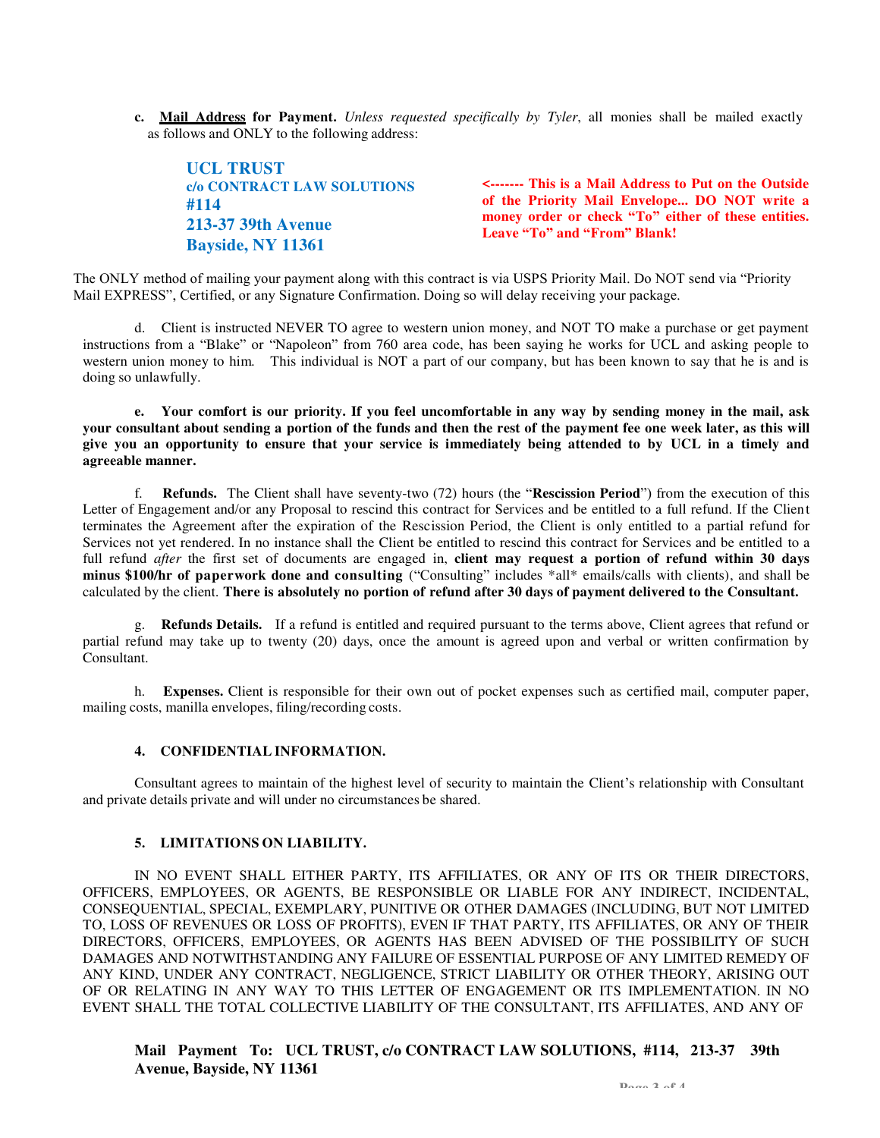**c. Mail Address for Payment.** *Unless requested specifically by Tyler*, all monies shall be mailed exactly as follows and ONLY to the following address:

**UCL TRUST c/o CONTRACT LAW SOLUTIONS #114 213-37 39th Avenue Bayside, NY 11361** 

**<------- This is a Mail Address to Put on the Outside of the Priority Mail Envelope... DO NOT write a money order or check "To" either of these entities. Leave "To" and "From" Blank!**

The ONLY method of mailing your payment along with this contract is via USPS Priority Mail. Do NOT send via "Priority Mail EXPRESS", Certified, or any Signature Confirmation. Doing so will delay receiving your package.

d. Client is instructed NEVER TO agree to western union money, and NOT TO make a purchase or get payment instructions from a "Blake" or "Napoleon" from 760 area code, has been saying he works for UCL and asking people to western union money to him. This individual is NOT a part of our company, but has been known to say that he is and is doing so unlawfully.

**e. Your comfort is our priority. If you feel uncomfortable in any way by sending money in the mail, ask your consultant about sending a portion of the funds and then the rest of the payment fee one week later, as this will give you an opportunity to ensure that your service is immediately being attended to by UCL in a timely and agreeable manner.**

f. **Refunds.** The Client shall have seventy-two (72) hours (the "**Rescission Period**") from the execution of this Letter of Engagement and/or any Proposal to rescind this contract for Services and be entitled to a full refund. If the Client terminates the Agreement after the expiration of the Rescission Period, the Client is only entitled to a partial refund for Services not yet rendered. In no instance shall the Client be entitled to rescind this contract for Services and be entitled to a full refund *after* the first set of documents are engaged in, **client may request a portion of refund within 30 days minus \$100/hr of paperwork done and consulting** ("Consulting" includes \*all\* emails/calls with clients), and shall be calculated by the client. **There is absolutely no portion of refund after 30 days of payment delivered to the Consultant.**

g. **Refunds Details.** If a refund is entitled and required pursuant to the terms above, Client agrees that refund or partial refund may take up to twenty (20) days, once the amount is agreed upon and verbal or written confirmation by Consultant.

h. **Expenses.** Client is responsible for their own out of pocket expenses such as certified mail, computer paper, mailing costs, manilla envelopes, filing/recording costs.

### **4. CONFIDENTIAL INFORMATION.**

Consultant agrees to maintain of the highest level of security to maintain the Client's relationship with Consultant and private details private and will under no circumstances be shared.

### **5. LIMITATIONS ON LIABILITY.**

IN NO EVENT SHALL EITHER PARTY, ITS AFFILIATES, OR ANY OF ITS OR THEIR DIRECTORS, OFFICERS, EMPLOYEES, OR AGENTS, BE RESPONSIBLE OR LIABLE FOR ANY INDIRECT, INCIDENTAL, CONSEQUENTIAL, SPECIAL, EXEMPLARY, PUNITIVE OR OTHER DAMAGES (INCLUDING, BUT NOT LIMITED TO, LOSS OF REVENUES OR LOSS OF PROFITS), EVEN IF THAT PARTY, ITS AFFILIATES, OR ANY OF THEIR DIRECTORS, OFFICERS, EMPLOYEES, OR AGENTS HAS BEEN ADVISED OF THE POSSIBILITY OF SUCH DAMAGES AND NOTWITHSTANDING ANY FAILURE OF ESSENTIAL PURPOSE OF ANY LIMITED REMEDY OF ANY KIND, UNDER ANY CONTRACT, NEGLIGENCE, STRICT LIABILITY OR OTHER THEORY, ARISING OUT OF OR RELATING IN ANY WAY TO THIS LETTER OF ENGAGEMENT OR ITS IMPLEMENTATION. IN NO EVENT SHALL THE TOTAL COLLECTIVE LIABILITY OF THE CONSULTANT, ITS AFFILIATES, AND ANY OF

## **Mail Payment To: UCL TRUST, c/o CONTRACT LAW SOLUTIONS, #114, 213-37 39th Avenue, Bayside, NY 11361**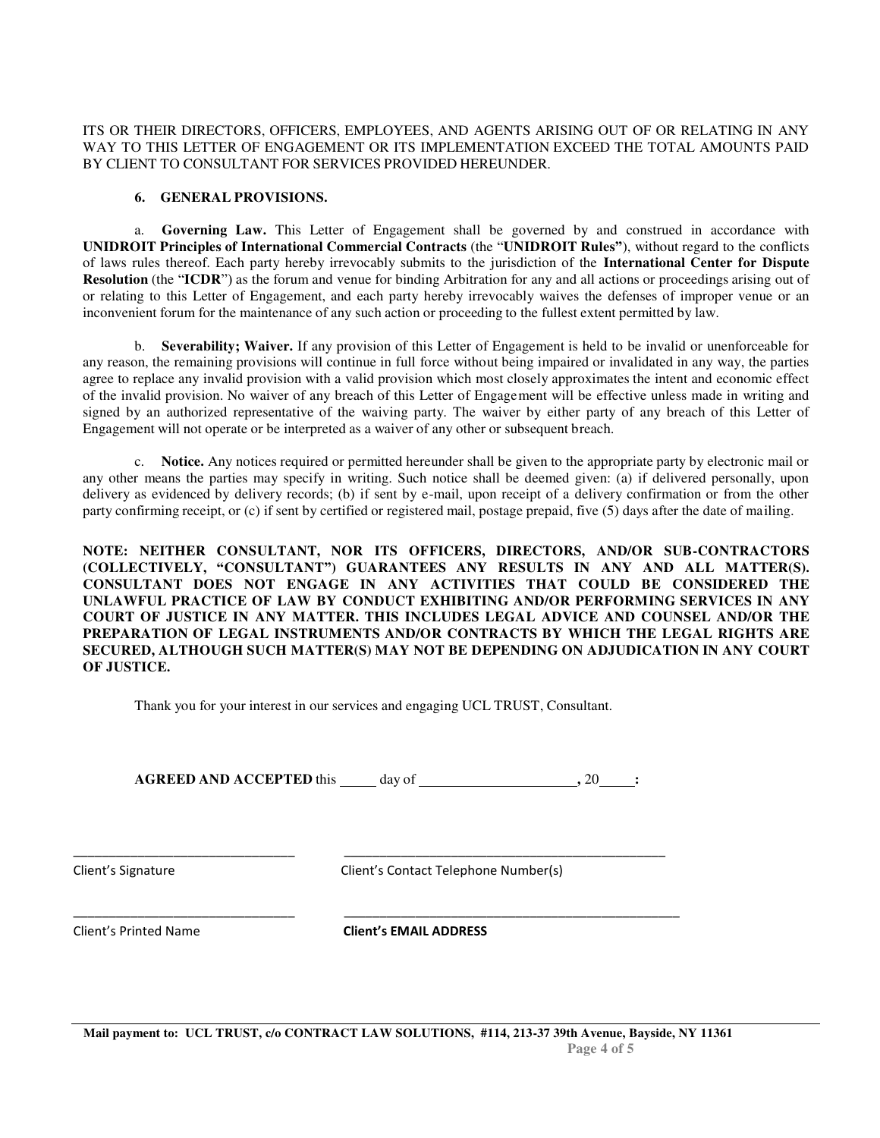ITS OR THEIR DIRECTORS, OFFICERS, EMPLOYEES, AND AGENTS ARISING OUT OF OR RELATING IN ANY WAY TO THIS LETTER OF ENGAGEMENT OR ITS IMPLEMENTATION EXCEED THE TOTAL AMOUNTS PAID BY CLIENT TO CONSULTANT FOR SERVICES PROVIDED HEREUNDER.

## **6. GENERAL PROVISIONS.**

a. **Governing Law.** This Letter of Engagement shall be governed by and construed in accordance with **UNIDROIT Principles of International Commercial Contracts** (the "**UNIDROIT Rules"**), without regard to the conflicts of laws rules thereof. Each party hereby irrevocably submits to the jurisdiction of the **International Center for Dispute Resolution** (the "**ICDR**") as the forum and venue for binding Arbitration for any and all actions or proceedings arising out of or relating to this Letter of Engagement, and each party hereby irrevocably waives the defenses of improper venue or an inconvenient forum for the maintenance of any such action or proceeding to the fullest extent permitted by law.

b. **Severability; Waiver.** If any provision of this Letter of Engagement is held to be invalid or unenforceable for any reason, the remaining provisions will continue in full force without being impaired or invalidated in any way, the parties agree to replace any invalid provision with a valid provision which most closely approximates the intent and economic effect of the invalid provision. No waiver of any breach of this Letter of Engage ment will be effective unless made in writing and signed by an authorized representative of the waiving party. The waiver by either party of any breach of this Letter of Engagement will not operate or be interpreted as a waiver of any other or subsequent breach.

c. **Notice.** Any notices required or permitted hereunder shall be given to the appropriate party by electronic mail or any other means the parties may specify in writing. Such notice shall be deemed given: (a) if delivered personally, upon delivery as evidenced by delivery records; (b) if sent by e-mail, upon receipt of a delivery confirmation or from the other party confirming receipt, or (c) if sent by certified or registered mail, postage prepaid, five (5) days after the date of mailing.

**NOTE: NEITHER CONSULTANT, NOR ITS OFFICERS, DIRECTORS, AND/OR SUB-CONTRACTORS (COLLECTIVELY, "CONSULTANT") GUARANTEES ANY RESULTS IN ANY AND ALL MATTER(S). CONSULTANT DOES NOT ENGAGE IN ANY ACTIVITIES THAT COULD BE CONSIDERED THE UNLAWFUL PRACTICE OF LAW BY CONDUCT EXHIBITING AND/OR PERFORMING SERVICES IN ANY COURT OF JUSTICE IN ANY MATTER. THIS INCLUDES LEGAL ADVICE AND COUNSEL AND/OR THE PREPARATION OF LEGAL INSTRUMENTS AND/OR CONTRACTS BY WHICH THE LEGAL RIGHTS ARE SECURED, ALTHOUGH SUCH MATTER(S) MAY NOT BE DEPENDING ON ADJUDICATION IN ANY COURT OF JUSTICE.**

Thank you for your interest in our services and engaging UCL TRUST, Consultant.

\_\_\_\_\_\_\_\_\_\_\_\_\_\_\_\_\_\_\_\_\_\_\_\_\_\_\_\_\_\_\_ \_\_\_\_\_\_\_\_\_\_\_\_\_\_\_\_\_\_\_\_\_\_\_\_\_\_\_\_\_\_\_\_\_\_\_\_\_\_\_\_\_\_\_\_\_

\_\_\_\_\_\_\_\_\_\_\_\_\_\_\_\_\_\_\_\_\_\_\_\_\_\_\_\_\_\_\_ \_\_\_\_\_\_\_\_\_\_\_\_\_\_\_\_\_\_\_\_\_\_\_\_\_\_\_\_\_\_\_\_\_\_\_\_\_\_\_\_\_\_\_\_\_\_\_

**AGREED AND ACCEPTED** this day of **, 20**  $\rightarrow$  20  $\rightarrow$  **:** 

Client's Signature Client's Contact Telephone Number(s)

Client's Printed Name **Client's EMAIL ADDRESS**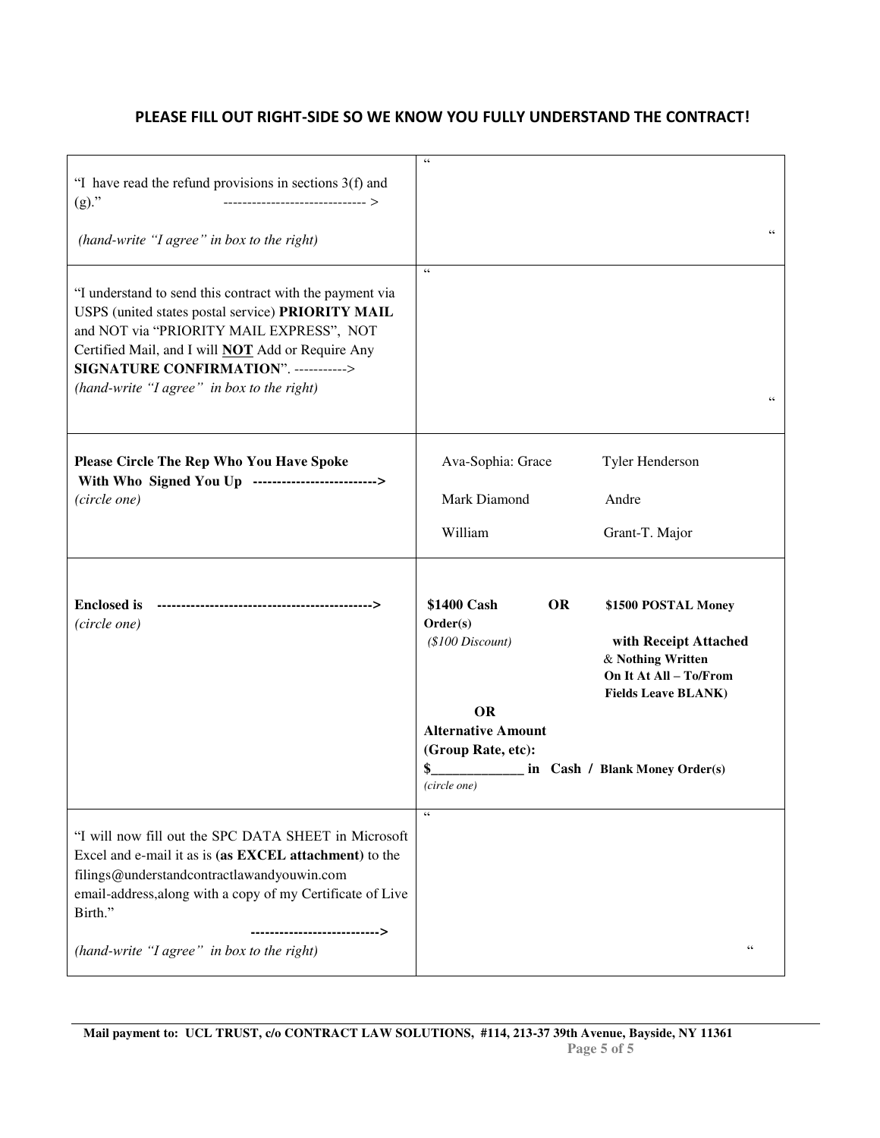## **PLEASE FILL OUT RIGHT-SIDE SO WE KNOW YOU FULLY UNDERSTAND THE CONTRACT!**

| "I have read the refund provisions in sections $3(f)$ and<br>$(g)$ ."                                                                                                                                                                                                                                        | $\epsilon\,c$                                                                                                              |                                                                                                                           |
|--------------------------------------------------------------------------------------------------------------------------------------------------------------------------------------------------------------------------------------------------------------------------------------------------------------|----------------------------------------------------------------------------------------------------------------------------|---------------------------------------------------------------------------------------------------------------------------|
| (hand-write "I agree" in box to the right)                                                                                                                                                                                                                                                                   |                                                                                                                            | C                                                                                                                         |
| "I understand to send this contract with the payment via<br>USPS (united states postal service) PRIORITY MAIL<br>and NOT via "PRIORITY MAIL EXPRESS", NOT<br>Certified Mail, and I will <b>NOT</b> Add or Require Any<br>SIGNATURE CONFIRMATION". -----------><br>(hand-write "I agree" in box to the right) | $\epsilon$                                                                                                                 | $\mathsf{c}\,\mathsf{c}$                                                                                                  |
| Please Circle The Rep Who You Have Spoke<br>With Who Signed You Up -------------------------->                                                                                                                                                                                                               | Ava-Sophia: Grace                                                                                                          | Tyler Henderson                                                                                                           |
| (circle one)                                                                                                                                                                                                                                                                                                 | Mark Diamond                                                                                                               | Andre                                                                                                                     |
|                                                                                                                                                                                                                                                                                                              | William                                                                                                                    | Grant-T. Major                                                                                                            |
| <b>Enclosed</b> is<br>(circle one)                                                                                                                                                                                                                                                                           | \$1400 Cash<br><b>OR</b><br>Order(s)<br>$($100\, Discount)$                                                                | \$1500 POSTAL Money<br>with Receipt Attached<br>& Nothing Written<br>On It At All - To/From<br><b>Fields Leave BLANK)</b> |
|                                                                                                                                                                                                                                                                                                              | <b>OR</b><br><b>Alternative Amount</b><br>(Group Rate, etc):<br><u>Letting Cash / Blank Money Order(s)</u><br>(circle one) |                                                                                                                           |
| "I will now fill out the SPC DATA SHEET in Microsoft<br>Excel and e-mail it as is (as EXCEL attachment) to the<br>filings@understandcontractlawandyouwin.com<br>email-address, along with a copy of my Certificate of Live<br>Birth."<br>><br>(hand-write "I agree" in box to the right)                     | $\mathsf{c}\,\mathsf{c}$                                                                                                   | C                                                                                                                         |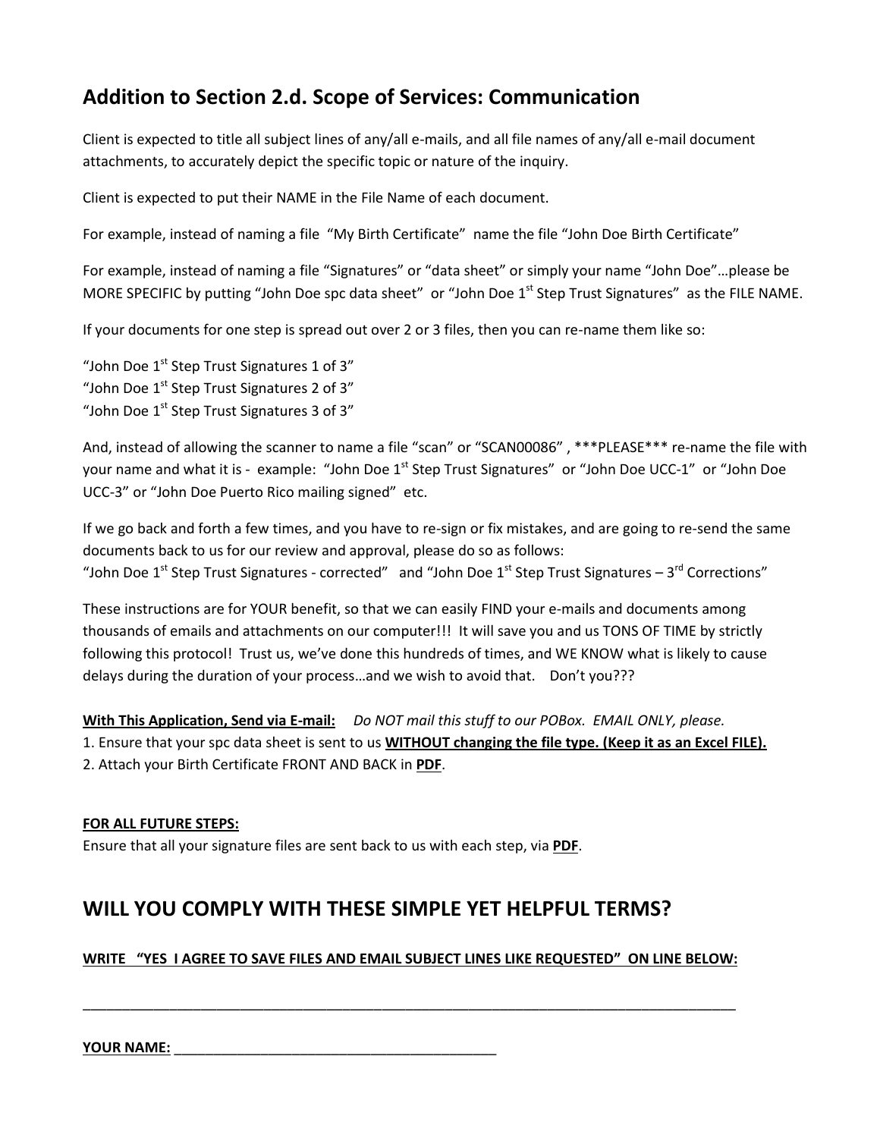# **Addition to Section 2.d. Scope of Services: Communication**

Client is expected to title all subject lines of any/all e-mails, and all file names of any/all e-mail document attachments, to accurately depict the specific topic or nature of the inquiry.

Client is expected to put their NAME in the File Name of each document.

For example, instead of naming a file "My Birth Certificate" name the file "John Doe Birth Certificate"

For example, instead of naming a file "Signatures" or "data sheet" or simply your name "John Doe"...please be MORE SPECIFIC by putting "John Doe spc data sheet" or "John Doe 1<sup>st</sup> Step Trust Signatures" as the FILE NAME.

If your documents for one step is spread out over 2 or 3 files, then you can re-name them like so:

"John Doe  $1<sup>st</sup>$  Step Trust Signatures 1 of 3" "John Doe  $1<sup>st</sup>$  Step Trust Signatures 2 of 3" "John Doe  $1<sup>st</sup>$  Step Trust Signatures 3 of 3"

And, instead of allowing the scanner to name a file "scan" or "SCAN00086", \*\*\*PLEASE\*\*\* re-name the file with your name and what it is - example: "John Doe 1<sup>st</sup> Step Trust Signatures" or "John Doe UCC-1" or "John Doe UCC-3" or "John Doe Puerto Rico mailing signed" etc.

If we go back and forth a few times, and you have to re-sign or fix mistakes, and are going to re-send the same documents back to us for our review and approval, please do so as follows: "John Doe 1st Step Trust Signatures - corrected" and "John Doe 1st Step Trust Signatures – 3<sup>rd</sup> Corrections"

These instructions are for YOUR benefit, so that we can easily FIND your e-mails and documents among thousands of emails and attachments on our computer!!! It will save you and us TONS OF TIME by strictly following this protocol! Trust us, we've done this hundreds of times, and WE KNOW what is likely to cause delays during the duration of your process…and we wish to avoid that. Don't you???

**With This Application, Send via E-mail:** *Do NOT mail this stuff to our POBox. EMAIL ONLY, please.*

1. Ensure that your spc data sheet is sent to us **WITHOUT changing the file type. (Keep it as an Excel FILE).** 2. Attach your Birth Certificate FRONT AND BACK in **PDF**.

## **FOR ALL FUTURE STEPS:**

Ensure that all your signature files are sent back to us with each step, via **PDF**.

# **WILL YOU COMPLY WITH THESE SIMPLE YET HELPFUL TERMS?**

## **WRITE ͞YES I AGREE TO SAVE FILES AND EMAIL SUBJECT LINES LIKE REQUESTED͟ ON LINE BELOW:**

\_\_\_\_\_\_\_\_\_\_\_\_\_\_\_\_\_\_\_\_\_\_\_\_\_\_\_\_\_\_\_\_\_\_\_\_\_\_\_\_\_\_\_\_\_\_\_\_\_\_\_\_\_\_\_\_\_\_\_\_\_\_\_\_\_\_\_\_\_\_\_\_\_\_\_\_\_\_\_\_\_\_\_

**YOUR NAME:** \_\_\_\_\_\_\_\_\_\_\_\_\_\_\_\_\_\_\_\_\_\_\_\_\_\_\_\_\_\_\_\_\_\_\_\_\_\_\_\_\_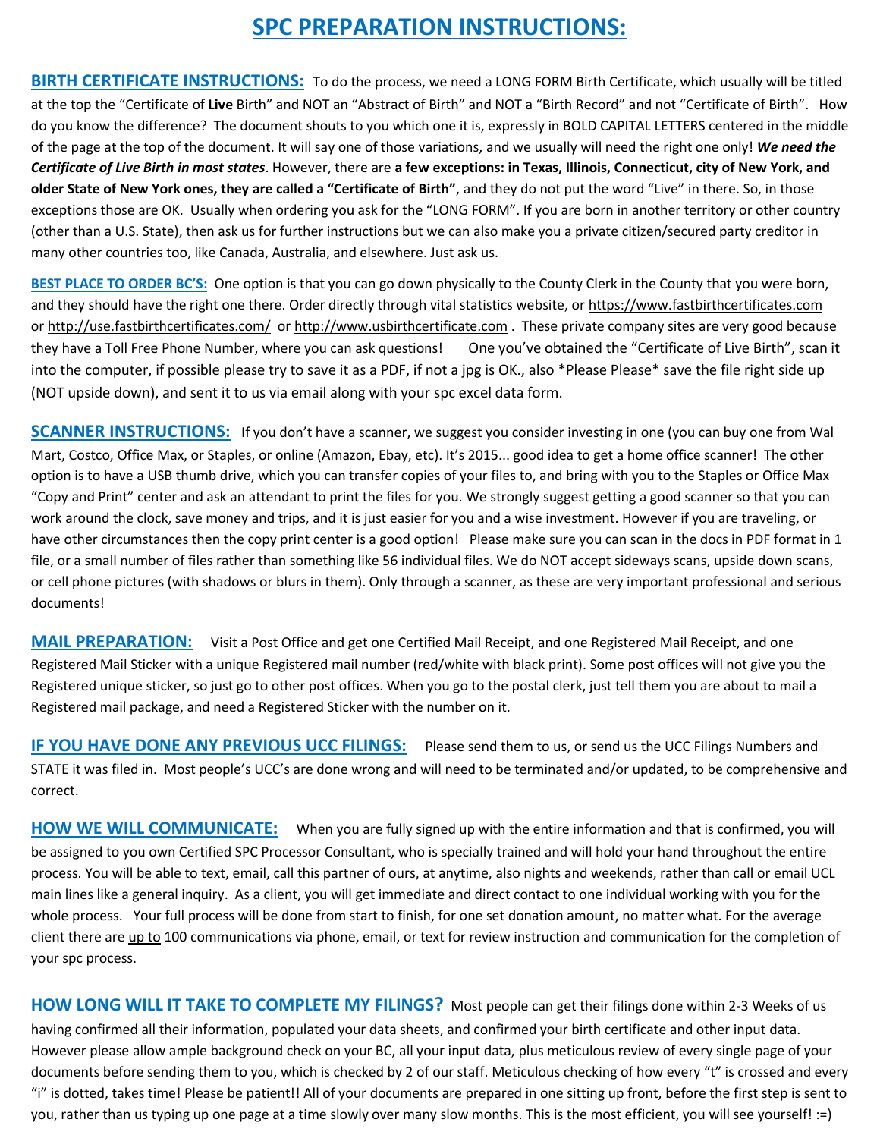# **SPC PREPARATION INSTRUCTIONS:**

**BIRTH CERTIFICATE INSTRUCTIONS:** To do the process, we need a LONG FORM Birth Certificate, which usually will be titled at the top the "Certificate of Live Birth" and NOT an "Abstract of Birth" and NOT a "Birth Record" and not "Certificate of Birth". How do you know the difference? The document shouts to you which one it is, expressly in BOLD CAPITAL LETTERS centered in the middle of the page at the top of the document. It will say one of those variations, and we usually will need the right one only! *We need the Certificate of Live Birth in most states*. However, there are **a few exceptions: in Texas, Illinois, Connecticut, city of New York, and older State of New York ones, they are called a "Certificate of Birth"**, and they do not put the word "Live" in there. So, in those exceptions those are OK. Usually when ordering you ask for the "LONG FORM". If you are born in another territory or other country (other than a U.S. State), then ask us for further instructions but we can also make you a private citizen/secured party creditor in many other countries too, like Canada, Australia, and elsewhere. Just ask us.

BEST PLACE TO ORDER BC'S: One option is that you can go down physically to the County Clerk in the County that you were born, and they should have the right one there. Order directly through vital statistics website, or https://www.fastbirthcertificates.com or<http://use.fastbirthcertificates.com/>o[r http://www.usbirthcertificate.com](http://www.usbirthcertificate.com/) . These private company sites are very good because they have a Toll Free Phone Number, where you can ask questions! One you've obtained the "Certificate of Live Birth", scan it into the computer, if possible please try to save it as a PDF, if not a jpg is OK., also \*Please Please\* save the file right side up (NOT upside down), and sent it to us via email along with your spc excel data form.

**SCANNER INSTRUCTIONS:** If you don't have a scanner, we suggest you consider investing in one (you can buy one from Wal Mart, Costco, Office Max, or Staples, or online (Amazon, Ebay, etc). It's 2015... good idea to get a home office scanner! The other option is to have a USB thumb drive, which you can transfer copies of your files to, and bring with you to the Staples or Office Max "Copy and Print" center and ask an attendant to print the files for you. We strongly suggest getting a good scanner so that you can work around the clock, save money and trips, and it is just easier for you and a wise investment. However if you are traveling, or have other circumstances then the copy print center is a good option! Please make sure you can scan in the docs in PDF format in 1 file, or a small number of files rather than something like 56 individual files. We do NOT accept sideways scans, upside down scans, or cell phone pictures (with shadows or blurs in them). Only through a scanner, as these are very important professional and serious documents!

**MAIL PREPARATION:** Visit a Post Office and get one Certified Mail Receipt, and one Registered Mail Receipt, and one Registered Mail Sticker with a unique Registered mail number (red/white with black print). Some post offices will not give you the Registered unique sticker, so just go to other post offices. When you go to the postal clerk, just tell them you are about to mail a Registered mail package, and need a Registered Sticker with the number on it.

**IF YOU HAVE DONE ANY PREVIOUS UCC FILINGS:** Please send them to us, or send us the UCC Filings Numbers and STATE it was filed in. Most people's UCC's are done wrong and will need to be terminated and/or updated, to be comprehensive and correct.

**HOW WE WILL COMMUNICATE:** When you are fully signed up with the entire information and that is confirmed, you will be assigned to you own Certified SPC Processor Consultant, who is specially trained and will hold your hand throughout the entire process. You will be able to text, email, call this partner of ours, at anytime, also nights and weekends, rather than call or email UCL main lines like a general inquiry. As a client, you will get immediate and direct contact to one individual working with you for the whole process. Your full process will be done from start to finish, for one set donation amount, no matter what. For the average client there are up to 100 communications via phone, email, or text for review instruction and communication for the completion of your spc process.

**HOW LONG WILL IT TAKE TO COMPLETE MY FILINGS?** Most people can get their filings done within 2-3 Weeks of us having confirmed all their information, populated your data sheets, and confirmed your birth certificate and other input data. However please allow ample background check on your BC, all your input data, plus meticulous review of every single page of your documents before sending them to you, which is checked by 2 of our staff. Meticulous checking of how every "t" is crossed and every "i" is dotted, takes time! Please be patient!! All of your documents are prepared in one sitting up front, before the first step is sent to you, rather than us typing up one page at a time slowly over many slow months. This is the most efficient, you will see yourself! :=)